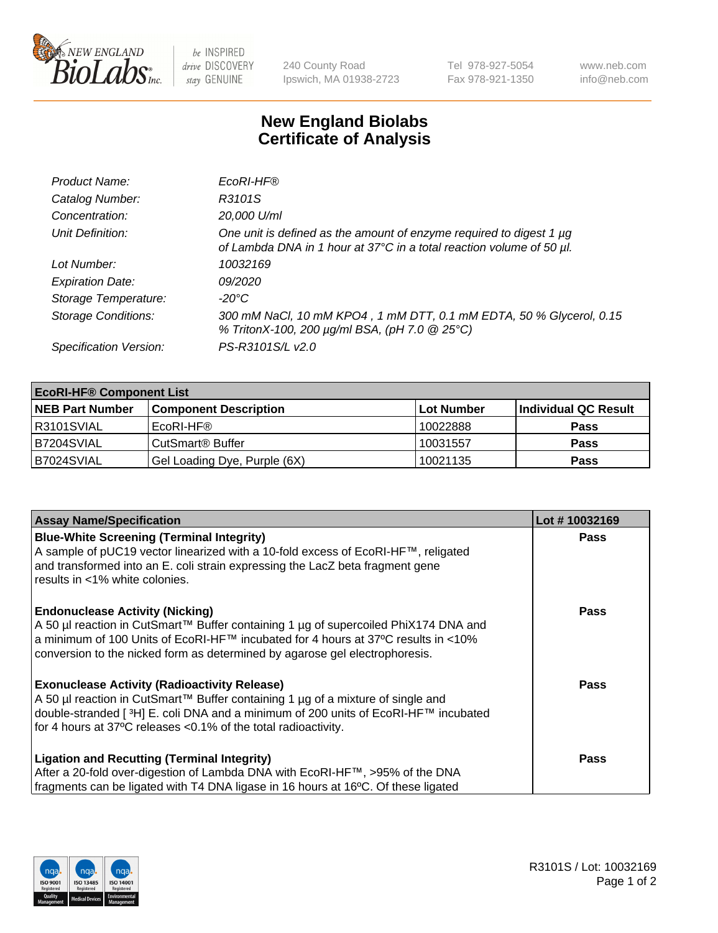

 $be$  INSPIRED drive DISCOVERY stay GENUINE

240 County Road Ipswich, MA 01938-2723 Tel 978-927-5054 Fax 978-921-1350 www.neb.com info@neb.com

## **New England Biolabs Certificate of Analysis**

| Product Name:              | EcoRI-HF®                                                                                                                                   |
|----------------------------|---------------------------------------------------------------------------------------------------------------------------------------------|
| Catalog Number:            | R3101S                                                                                                                                      |
| Concentration:             | 20,000 U/ml                                                                                                                                 |
| Unit Definition:           | One unit is defined as the amount of enzyme required to digest 1 µg<br>of Lambda DNA in 1 hour at 37°C in a total reaction volume of 50 µl. |
| Lot Number:                | 10032169                                                                                                                                    |
| <b>Expiration Date:</b>    | 09/2020                                                                                                                                     |
| Storage Temperature:       | -20°C                                                                                                                                       |
| <b>Storage Conditions:</b> | 300 mM NaCl, 10 mM KPO4, 1 mM DTT, 0.1 mM EDTA, 50 % Glycerol, 0.15<br>% TritonX-100, 200 µg/ml BSA, (pH 7.0 @ 25°C)                        |
| Specification Version:     | PS-R3101S/L v2.0                                                                                                                            |

| <b>EcoRI-HF® Component List</b> |                              |            |                      |  |  |
|---------------------------------|------------------------------|------------|----------------------|--|--|
| <b>NEB Part Number</b>          | <b>Component Description</b> | Lot Number | Individual QC Result |  |  |
| IR3101SVIAL                     | EcoRI-HF®                    | 10022888   | <b>Pass</b>          |  |  |
| IB7204SVIAL                     | CutSmart <sup>®</sup> Buffer | 10031557   | <b>Pass</b>          |  |  |
| B7024SVIAL                      | Gel Loading Dye, Purple (6X) | 10021135   | <b>Pass</b>          |  |  |

| <b>Assay Name/Specification</b>                                                                                                                                                                                                                                                                                                       | Lot #10032169 |
|---------------------------------------------------------------------------------------------------------------------------------------------------------------------------------------------------------------------------------------------------------------------------------------------------------------------------------------|---------------|
| <b>Blue-White Screening (Terminal Integrity)</b><br>A sample of pUC19 vector linearized with a 10-fold excess of EcoRI-HF™, religated<br>and transformed into an E. coli strain expressing the LacZ beta fragment gene                                                                                                                | <b>Pass</b>   |
| results in <1% white colonies.<br><b>Endonuclease Activity (Nicking)</b><br>A 50 µl reaction in CutSmart™ Buffer containing 1 µg of supercoiled PhiX174 DNA and<br>  a minimum of 100 Units of EcoRI-HF™ incubated for 4 hours at 37°C results in <10%<br>conversion to the nicked form as determined by agarose gel electrophoresis. | <b>Pass</b>   |
| <b>Exonuclease Activity (Radioactivity Release)</b><br>  A 50 µl reaction in CutSmart™ Buffer containing 1 µg of a mixture of single and<br>double-stranded [ <sup>3</sup> H] E. coli DNA and a minimum of 200 units of EcoRI-HF™ incubated<br>for 4 hours at 37°C releases <0.1% of the total radioactivity.                         | Pass          |
| <b>Ligation and Recutting (Terminal Integrity)</b><br>After a 20-fold over-digestion of Lambda DNA with EcoRI-HF™, >95% of the DNA<br>fragments can be ligated with T4 DNA ligase in 16 hours at 16°C. Of these ligated                                                                                                               | <b>Pass</b>   |